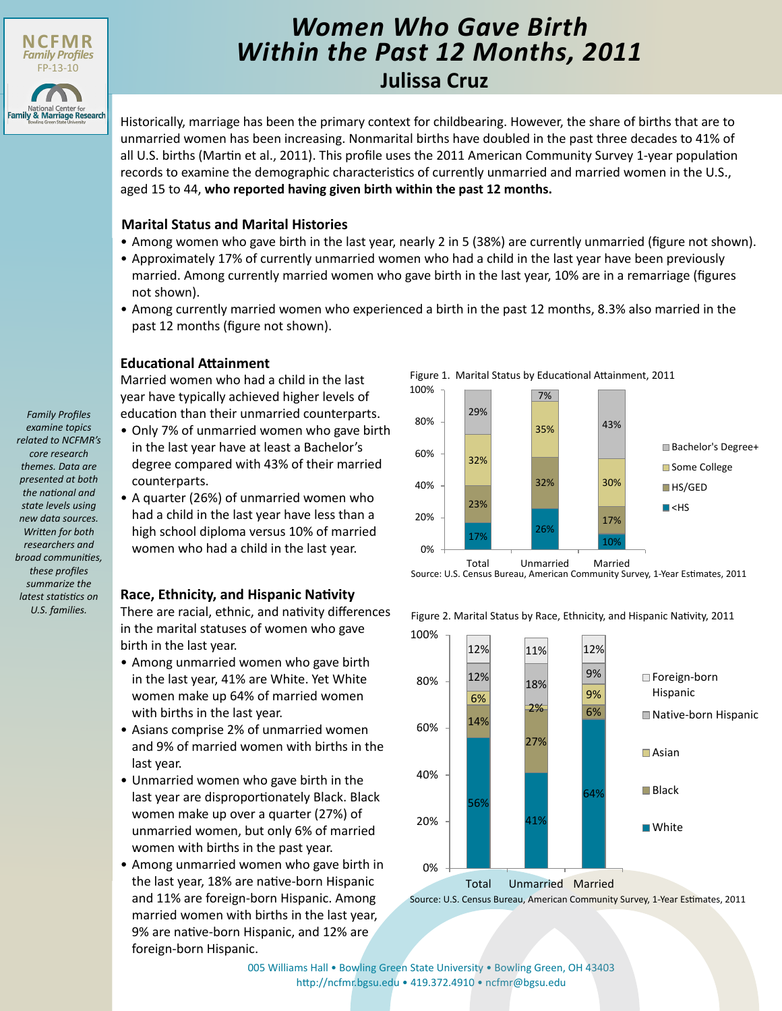

# *Women Who Gave Birth Within the Past 12 Months, 2011*

## **Julissa Cruz**

Historically, marriage has been the primary context for childbearing. However, the share of births that are to unmarried women has been increasing. Nonmarital births have doubled in the past three decades to 41% of all U.S. births (Martin et al., 2011). This profile uses the 2011 American Community Survey 1-year population records to examine the demographic characteristics of currently unmarried and married women in the U.S., aged 15 to 44, **who reported having given birth within the past 12 months.**

### **Marital Status and Marital Histories**

- Among women who gave birth in the last year, nearly 2 in 5 (38%) are currently unmarried (figure not shown).
- Approximately 17% of currently unmarried women who had a child in the last year have been previously married. Among currently married women who gave birth in the last year, 10% are in a remarriage (figures not shown).
- Among currently married women who experienced a birth in the past 12 months, 8.3% also married in the past 12 months (figure not shown).

### **Educational Attainment**

Married women who had a child in the last year have typically achieved higher levels of education than their unmarried counterparts.

- Only 7% of unmarried women who gave birth in the last year have at least a Bachelor's degree compared with 43% of their married counterparts.
- A quarter (26%) of unmarried women who had a child in the last year have less than a high school diploma versus 10% of married women who had a child in the last year.

### **Race, Ethnicity, and Hispanic Nativity**

There are racial, ethnic, and nativity differences in the marital statuses of women who gave birth in the last year.

- Among unmarried women who gave birth in the last year, 41% are White. Yet White women make up 64% of married women with births in the last year.
- Asians comprise 2% of unmarried women and 9% of married women with births in the last year.
- Unmarried women who gave birth in the last year are disproportionately Black. Black women make up over a quarter (27%) of unmarried women, but only 6% of married women with births in the past year.
- Among unmarried women who gave birth in the last year, 18% are native-born Hispanic and 11% are foreign-born Hispanic. Among married women with births in the last year, 9% are native-born Hispanic, and 12% are foreign-born Hispanic.





Figure 2. Marital Status by Race, Ethnicity, and Hispanic Nativity, 2011



Source: U.S. Census Bureau, American Community Survey, 1-Year Estimates, 2011

[005 Williams Hall • Bowling Green State University • Bowling Green, OH 43403](http://ncfmr.bgsu.edu) http://ncfmr.bgsu.edu • 419.372.4910 • ncfmr@bgsu.edu

*examine topics related to NCFMR's core research themes. Data are presented at both the national and state levels using new data sources. Written for both researchers and broad communities, these profiles summarize the latest statistics on U.S. families.*

*Family Profiles*